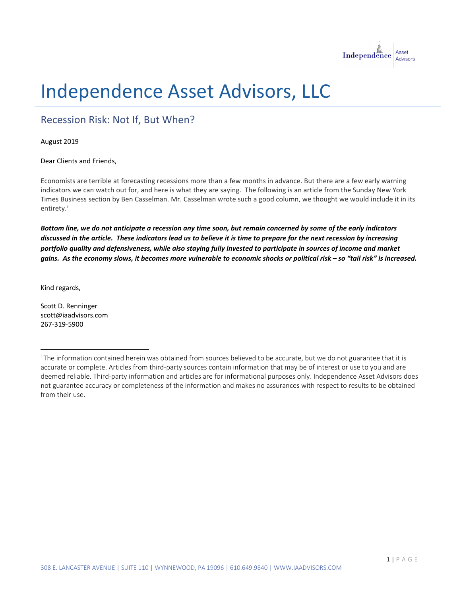

# Independence Asset Advisors, LLC

#### Recession Risk: Not If, But When?

August 2019

Dear Clients and Friends,

Economists are terrible at forecasting recessions more than a few months in advance. But there are a few early warning indicators we can watch out for, and here is what they are saying. The following is an article from the Sunday New York Times Business section by Ben Casselman. Mr. Casselman wrote such a good column, we thought we would include it in its ent[i](#page-0-0)rety.<sup>i</sup>

*Bottom line, we do not anticipate a recession any time soon, but remain concerned by some of the early indicators discussed in the article. These indicators lead us to believe it is time to prepare for the next recession by increasing portfolio quality and defensiveness, while also staying fully invested to participate in sources of income and market gains. As the economy slows, it becomes more vulnerable to economic shocks or political risk – so "tail risk" is increased.*

Kind regards,

Scott D. Renninger scott@iaadvisors.com 267-319-5900

<span id="page-0-0"></span><sup>i</sup> The information contained herein was obtained from sources believed to be accurate, but we do not guarantee that it is accurate or complete. Articles from third-party sources contain information that may be of interest or use to you and are deemed reliable. Third-party information and articles are for informational purposes only. Independence Asset Advisors does not guarantee accuracy or completeness of the information and makes no assurances with respect to results to be obtained from their use.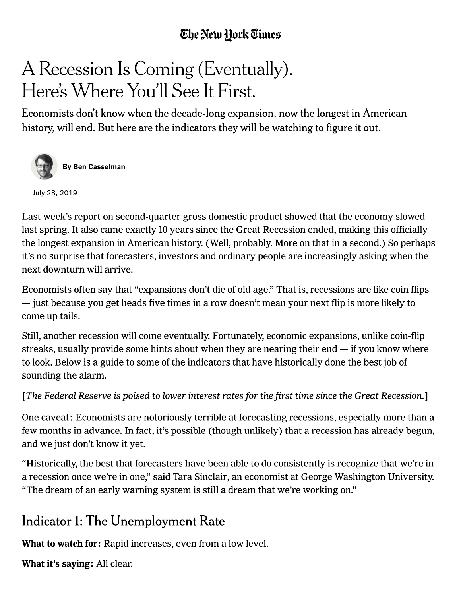### The New York Times

# A Recession Is Coming (Eventually). Here's Where You'll See It First.

Economists don't know when the decade-long expansion, now the longest in American history, will end. But here are the indicators they will be watching to figure it out.



**By Ben Casselman** 

July 28, 2019

Last week's report on second-quarter gross domestic product showed that the economy slowed last spring. It also came exactly 10 years since the Great Recession ended, making this officially the longest expansion in American history. (Well, probably. More on that in a second.) So perhaps it's no surprise that forecasters, investors and ordinary people are increasingly asking when the next downturn will arrive.

Economists often say that "expansions don't die of old age." That is, recessions are like coin flips - just because you get heads five times in a row doesn't mean your next flip is more likely to come up tails.

Still, another recession will come eventually. Fortunately, economic expansions, unlike coin-flip streaks, usually provide some hints about when they are nearing their end  $-$  if you know where to look. Below is a guide to some of the indicators that have historically done the best job of sounding the alarm.

[The Federal Reserve is poised to lower interest rates for the first time since the Great Recession.]

One caveat: Economists are notoriously terrible at forecasting recessions, especially more than a few months in advance. In fact, it's possible (though unlikely) that a recession has already begun, and we just don't know it yet.

"Historically, the best that forecasters have been able to do consistently is recognize that we're in a recession once we're in one," said Tara Sinclair, an economist at George Washington University. "The dream of an early warning system is still a dream that we're working on."

#### Indicator 1: The Unemployment Rate

**What to watch for:** Rapid increases, even from a low level.

What it's saying: All clear.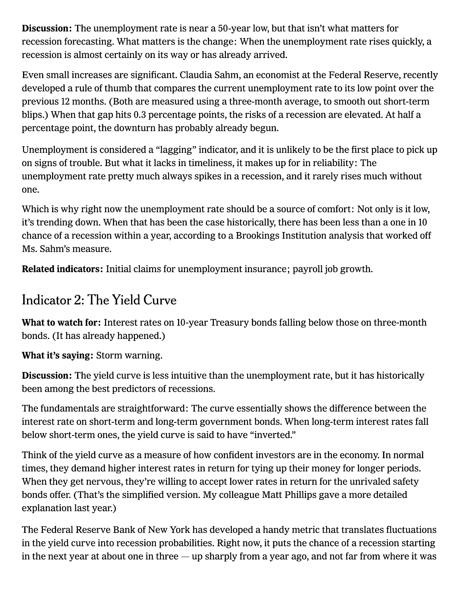**Discussion:** The unemployment rate is near a 50-year low, but that isn't what matters for recession forecasting. What matters is the change: When the unemployment rate rises quickly, a recession is almost certainly on its way or has already arrived.

Even small increases are significant. Claudia Sahm, an economist at the Federal Reserve, recently developed a rule of thumb that compares the current unemployment rate to its low point over the previous 12 months. (Both are measured using a three-month average, to smooth out short-term blips.) When that gap hits 0.3 percentage points, the risks of a recession are elevated. At half a percentage point, the downturn has probably already begun.

Unemployment is considered a "lagging" indicator, and it is unlikely to be the first place to pick up on signs of trouble. But what it lacks in timeliness, it makes up for in reliability: The unemployment rate pretty much always spikes in a recession, and it rarely rises much without one.

Which is why right now the unemployment rate should be a source of comfort: Not only is it low, it's trending down. When that has been the case historically, there has been less than a one in 10 chance of a recession within a year, according to a Brookings Institution analysis that worked off Ms. Sahm's measure.

**Related indicators:** Initial claims for unemployment insurance; payroll job growth.

## Indicator 2: The Yield Curve

What to watch for: Interest rates on 10-year Treasury bonds falling below those on three-month bonds. (It has already happened.)

What it's saying: Storm warning.

**Discussion:** The yield curve is less intuitive than the unemployment rate, but it has historically been among the best predictors of recessions.

The fundamentals are straightforward: The curve essentially shows the difference between the interest rate on short-term and long-term government bonds. When long-term interest rates fall below short-term ones, the yield curve is said to have "inverted."

Think of the yield curve as a measure of how confident investors are in the economy. In normal times, they demand higher interest rates in return for tying up their money for longer periods. When they get nervous, they're willing to accept lower rates in return for the unrivaled safety bonds offer. (That's the simplified version. My colleague Matt Phillips gave a more detailed explanation last year.)

The Federal Reserve Bank of New York has developed a handy metric that translates fluctuations in the yield curve into recession probabilities. Right now, it puts the chance of a recession starting in the next year at about one in three — up sharply from a year ago, and not far from where it was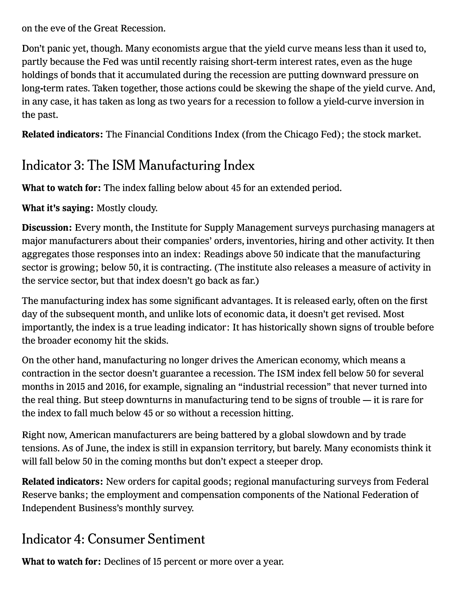on the eve of the Great Recession.

Don't panic yet, though. Many economists argue that the yield curve means less than it used to, partly because the Fed was until recently raising short-term interest rates, even as the huge holdings of bonds that it accumulated during the recession are putting downward pressure on long-term rates. Taken together, those actions could be skewing the shape of the yield curve. And, in any case, it has taken as long as two years for a recession to follow a yield-curve inversion in the past.

**Related indicators:** The Financial Conditions Index (from the Chicago Fed); the stock market.

## Indicator 3: The ISM Manufacturing Index

What to watch for: The index falling below about 45 for an extended period.

What it's saying: Mostly cloudy.

**Discussion:** Every month, the Institute for Supply Management surveys purchasing managers at major manufacturers about their companies' orders, inventories, hiring and other activity. It then aggregates those responses into an index: Readings above 50 indicate that the manufacturing sector is growing; below 50, it is contracting. (The institute also releases a measure of activity in the service sector, but that index doesn't go back as far.)

The manufacturing index has some significant advantages. It is released early, often on the first day of the subsequent month, and unlike lots of economic data, it doesn't get revised. Most importantly, the index is a true leading indicator: It has historically shown signs of trouble before the broader economy hit the skids.

On the other hand, manufacturing no longer drives the American economy, which means a contraction in the sector doesn't guarantee a recession. The ISM index fell below 50 for several months in 2015 and 2016, for example, signaling an "industrial recession" that never turned into the real thing. But steep downturns in manufacturing tend to be signs of trouble  $-$  it is rare for the index to fall much below 45 or so without a recession hitting.

Right now, American manufacturers are being battered by a global slowdown and by trade tensions. As of June, the index is still in expansion territory, but barely. Many economists think it will fall below 50 in the coming months but don't expect a steeper drop.

**Related indicators:** New orders for capital goods; regional manufacturing surveys from Federal Reserve banks; the employment and compensation components of the National Federation of Independent Business's monthly survey.

# Indicator 4: Consumer Sentiment

**What to watch for:** Declines of 15 percent or more over a year.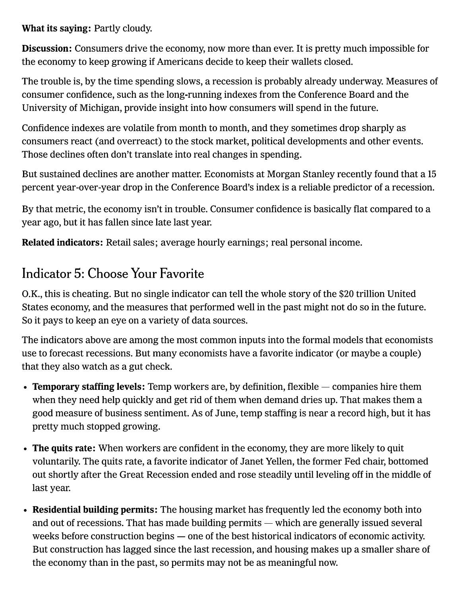**What its saying: Partly cloudy.** 

**Discussion:** Consumers drive the economy, now more than ever. It is pretty much impossible for the economy to keep growing if Americans decide to keep their wallets closed.

The trouble is, by the time spending slows, a recession is probably already underway. Measures of consumer confidence, such as the long-running indexes from the Conference Board and the University of Michigan, provide insight into how consumers will spend in the future.

Confidence indexes are volatile from month to month, and they sometimes drop sharply as consumers react (and overreact) to the stock market, political developments and other events. Those declines often don't translate into real changes in spending.

But sustained declines are another matter. Economists at Morgan Stanley recently found that a 15 percent year-over-year drop in the Conference Board's index is a reliable predictor of a recession.

By that metric, the economy isn't in trouble. Consumer confidence is basically flat compared to a year ago, but it has fallen since late last year.

**Related indicators:** Retail sales; average hourly earnings; real personal income.

### Indicator 5: Choose Your Favorite

O.K., this is cheating. But no single indicator can tell the whole story of the \$20 trillion United States economy, and the measures that performed well in the past might not do so in the future. So it pays to keep an eye on a variety of data sources.

The indicators above are among the most common inputs into the formal models that economists use to forecast recessions. But many economists have a favorite indicator (or maybe a couple) that they also watch as a gut check.

- Temporary staffing levels: Temp workers are, by definition, flexible  $-$  companies hire them when they need help quickly and get rid of them when demand dries up. That makes them a good measure of business sentiment. As of June, temp staffing is near a record high, but it has pretty much stopped growing.
- The quits rate: When workers are confident in the economy, they are more likely to quit voluntarily. The quits rate, a favorite indicator of Janet Yellen, the former Fed chair, bottomed out shortly after the Great Recession ended and rose steadily until leveling off in the middle of last year.
- Residential building permits: The housing market has frequently led the economy both into and out of recessions. That has made building permits - which are generally issued several weeks before construction begins — one of the best historical indicators of economic activity. But construction has lagged since the last recession, and housing makes up a smaller share of the economy than in the past, so permits may not be as meaningful now.